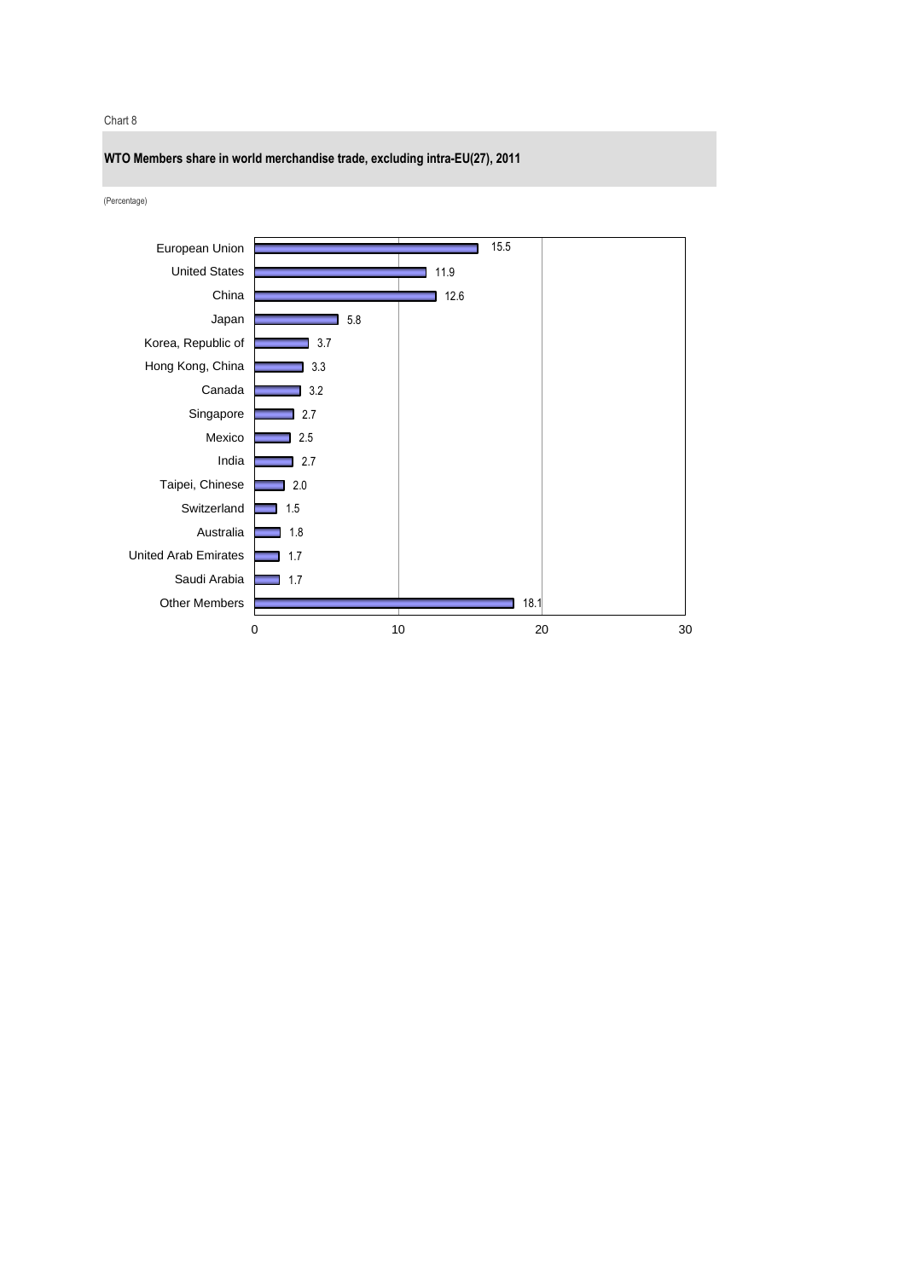Chart 8

**WTO Members share in world merchandise trade, excluding intra-EU(27), 2011**

(Percentage)

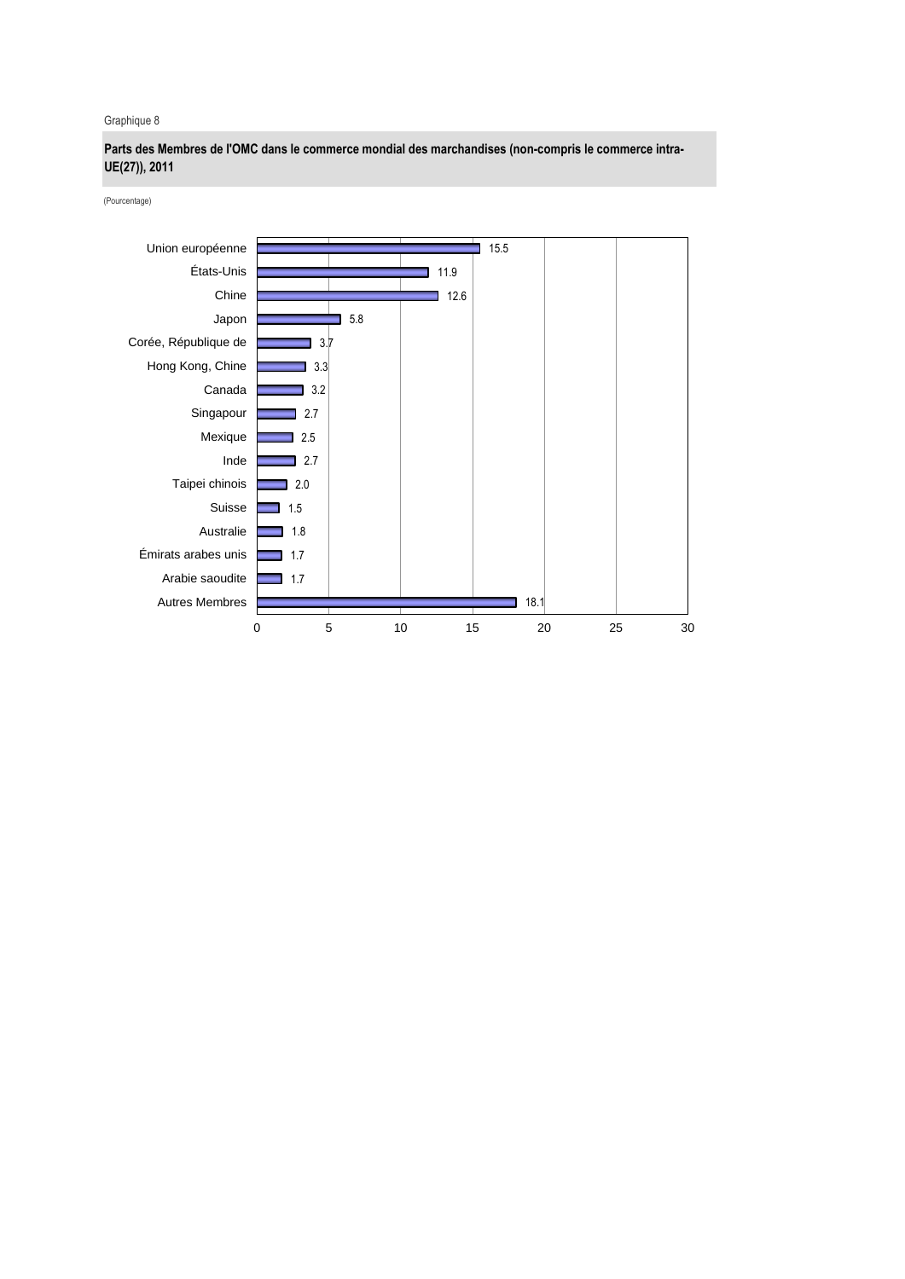Graphique 8

**Parts des Membres de l'OMC dans le commerce mondial des marchandises (non-compris le commerce intra-UE(27)), 2011**

(Pourcentage)

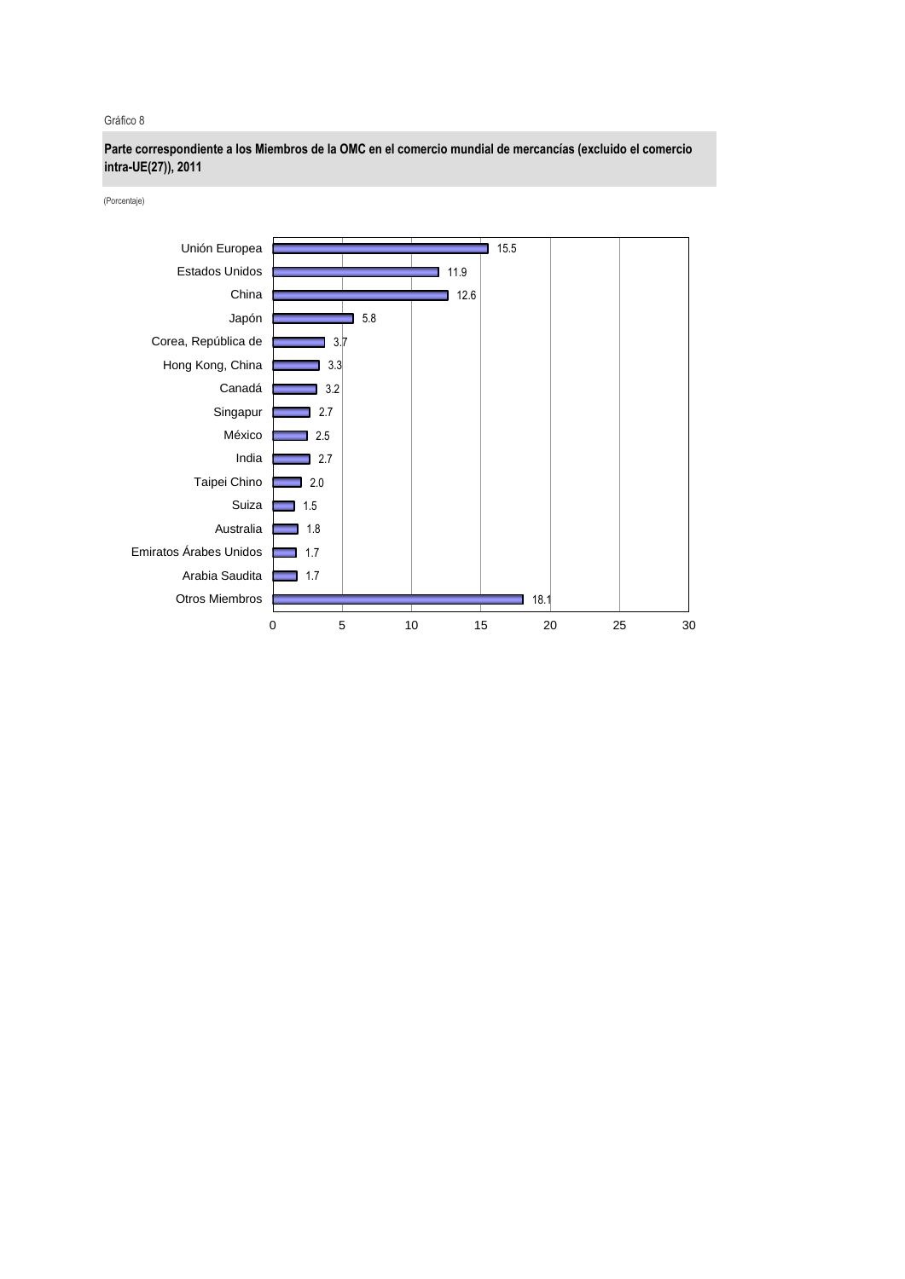Gráfico 8

**Parte correspondiente a los Miembros de la OMC en el comercio mundial de mercancías (excluido el comercio intra-UE(27)), 2011**

(Porcentaje)